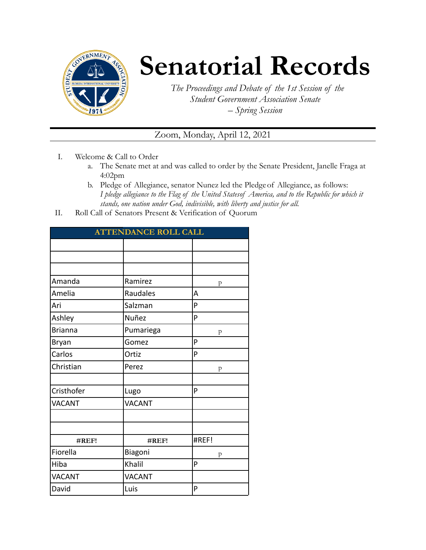

## **Senatorial Records**

*The Proceedings and Debate of the 1st Session of the Student Government Association Senate – Spring Session*

Zoom, Monday, April 12, 2021

- I. Welcome & Call to Order
	- a. The Senate met at and was called to order by the Senate President, Janelle Fraga at 4:02pm
	- b. Pledge of Allegiance, senator Nunez led the Pledgeof Allegiance, as follows: *I pledge allegiance to the Flag of the United Statesof America, and to the Republic for which it stands, one nation under God, indivisible, with liberty and justice for all.*
- II. Roll Call of Senators Present & Verification of Quorum

| <b>ATTENDANCE ROLL CALL</b> |               |       |
|-----------------------------|---------------|-------|
|                             |               |       |
|                             |               |       |
|                             |               |       |
| Amanda                      | Ramirez       | p     |
| Amelia                      | Raudales      | A     |
| Ari                         | Salzman       | P     |
| Ashley                      | Nuñez         | P     |
| <b>Brianna</b>              | Pumariega     | p     |
| <b>Bryan</b>                | Gomez         | P     |
| Carlos                      | Ortiz         | P     |
| Christian                   | Perez         | p     |
|                             |               |       |
| Cristhofer                  | Lugo          | P     |
| <b>VACANT</b>               | <b>VACANT</b> |       |
|                             |               |       |
|                             |               |       |
| #REF!                       | #REF!         | #REF! |
| Fiorella                    | Biagoni       | p     |
| Hiba                        | Khalil        | P     |
| <b>VACANT</b>               | <b>VACANT</b> |       |
| David                       | Luis          | P     |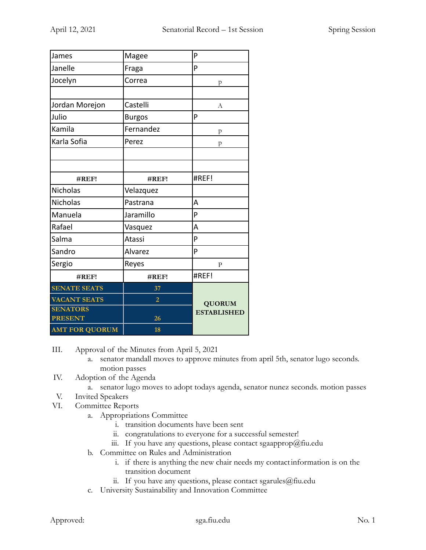| James                             | Magee          | P                  |
|-----------------------------------|----------------|--------------------|
| Janelle                           | Fraga          | P                  |
| Jocelyn                           | Correa         | p                  |
|                                   |                |                    |
| Jordan Morejon                    | Castelli       | А                  |
| Julio                             | <b>Burgos</b>  | P                  |
| Kamila                            | Fernandez      | p                  |
| Karla Sofia                       | Perez          | p                  |
|                                   |                |                    |
|                                   |                |                    |
| #REF!                             | #REF!          | #REF!              |
| Nicholas                          | Velazquez      |                    |
| Nicholas                          | Pastrana       | A                  |
| Manuela                           | Jaramillo      | P                  |
| Rafael                            | Vasquez        | A                  |
| Salma                             | Atassi         | P                  |
| Sandro                            | Alvarez        | P                  |
| Sergio                            | Reyes          | $\mathbf{P}$       |
| #REF!                             | #REF!          | #REF!              |
| <b>SENATE SEATS</b>               | 37             |                    |
| <b>VACANT SEATS</b>               | $\overline{2}$ | <b>QUORUM</b>      |
| <b>SENATORS</b><br><b>PRESENT</b> | 26             | <b>ESTABLISHED</b> |
| <b>AMT FOR QUORUM</b>             | 18             |                    |

III. Approval of the Minutes from April 5, 2021

- a. senator mandall moves to approve minutes from april 5th, senator lugo seconds. motion passes
- IV. Adoption of the Agenda
	- a. senator lugo moves to adopt todays agenda, senator nunez seconds. motion passes
- V. Invited Speakers
- VI. Committee Reports
	- a. Appropriations Committee
		- i. transition documents have been sent
		- ii. congratulations to everyone for a successful semester!
		- iii. If you have any questions, please contact sgaapprop@fiu.edu
	- b. Committee on Rules and Administration
		- i. if there is anything the new chair needs my contactinformation is on the transition document
		- ii. If you have any questions, please contact sgarules@fiu.edu
	- c. University Sustainability and Innovation Committee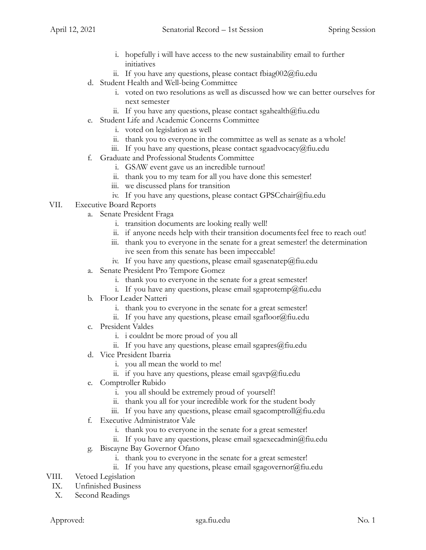- i. hopefully i will have access to the new sustainability email to further initiatives
- ii. If you have any questions, please contact fbiag002@fiu.edu
- d. Student Health and Well-being Committee
	- i. voted on two resolutions as well as discussed how we can better ourselves for next semester
	- ii. If you have any questions, please contact sgahealth $@$ fiu.edu
- e. Student Life and Academic Concerns Committee
	- i. voted on legislation as well
	- ii. thank you to everyone in the committee as well as senate as a whole!
	- iii. If you have any questions, please contact sgaadvocacy@fiu.edu
- f. Graduate and Professional Students Committee
	- i. GSAW event gave us an incredible turnout!
	- ii. thank you to my team for all you have done this semester!
	- iii. we discussed plans for transition
	- iv. If you have any questions, please contact GPSCchair@fiu.edu
- VII. Executive Board Reports
	- a. Senate President Fraga
		- i. transition documents are looking really well!
		- ii. if anyone needs help with their transition documents feel free to reach out!
		- iii. thank you to everyone in the senate for a great semester! the determination ive seen from this senate has been impeccable!
		- iv. If you have any questions, please email sgasenatep@fiu.edu
	- a. Senate President Pro Tempore Gomez
		- i. thank you to everyone in the senate for a great semester!
		- i. If you have any questions, please email sgaprotemp@fiu.edu
	- b. Floor Leader Natteri
		- i. thank you to everyone in the senate for a great semester!
		- ii. If you have any questions, please email sgafloor@fiu.edu
	- c. President Valdes
		- i. i couldnt be more proud of you all
		- ii. If you have any questions, please email sgapres $@$ fiu.edu
	- d. Vice President Ibarria
		- i. you all mean the world to me!
		- ii. if you have any questions, please email sgavp@fiu.edu
	- e. Comptroller Rubido
		- i. you all should be extremely proud of yourself!
		- ii. thank you all for your incredible work for the student body
		- iii. If you have any questions, please email sgacomptroll $@$ fiu.edu
	- f. Executive Administrator Vale
		- i. thank you to everyone in the senate for a great semester!
		- ii. If you have any questions, please email sgaexecadmin@fiu.edu
	- g. Biscayne Bay Governor Ofano
		- i. thank you to everyone in the senate for a great semester!
		- ii. If you have any questions, please email sgagovernor  $\omega$  fiu.edu
- VIII. Vetoed Legislation
	- IX. Unfinished Business
	- X. Second Readings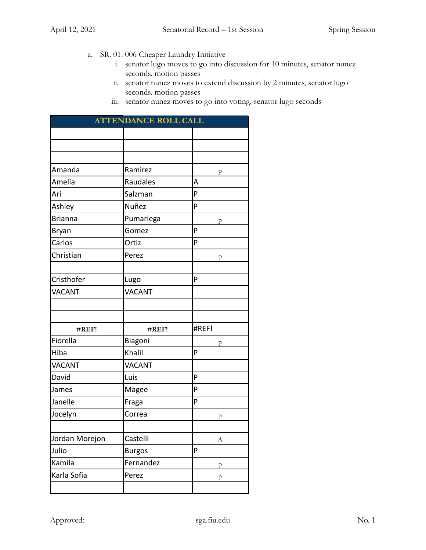- a. SR. 01. 006 Cheaper Laundry Initiative
	- i. senator lugo moves to go into discussion for 10 minutes, senator nunez seconds. motion passes
	- ii. senator nunez moves to extend discussion by 2 minutes, senator lugo seconds. motion passes
	- iii. senator nunez moves to go into voting, senator lugo seconds

| <b>ATTENDANCE ROLL CALL</b> |               |       |
|-----------------------------|---------------|-------|
|                             |               |       |
|                             |               |       |
|                             |               |       |
| Amanda                      | Ramirez       | p     |
| Amelia                      | Raudales      | A     |
| Ari                         | Salzman       | P     |
| Ashley                      | Nuñez         | P     |
| <b>Brianna</b>              | Pumariega     | p     |
| Bryan                       | Gomez         | P     |
| Carlos                      | Ortiz         | P     |
| Christian                   | Perez         | p     |
|                             |               |       |
| Cristhofer                  | Lugo          | P     |
| <b>VACANT</b>               | <b>VACANT</b> |       |
|                             |               |       |
|                             |               |       |
| #REF!                       | #REF!         | #REF! |
| Fiorella                    | Biagoni       | p     |
| Hiba                        | Khalil        | P     |
| <b>VACANT</b>               | <b>VACANT</b> |       |
| David                       | Luis          | P     |
| James                       | Magee         | P     |
| Janelle                     | Fraga         | P     |
| Jocelyn                     | Correa        | p     |
|                             |               |       |
| Jordan Morejon              | Castelli      | А     |
| Julio                       | <b>Burgos</b> | P     |
| Kamila                      | Fernandez     | p     |
| Karla Sofia                 | Perez         | p     |
|                             |               |       |
|                             |               |       |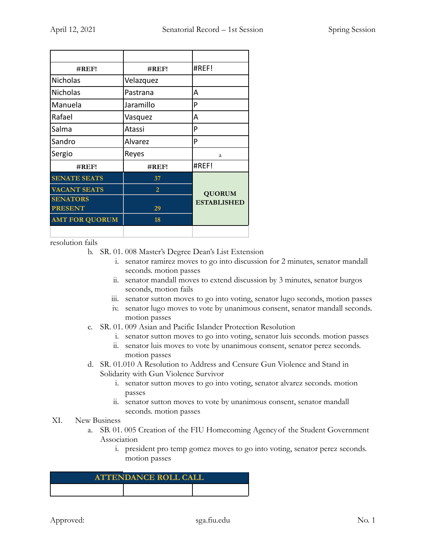| $\#REF!$              | #REF!          | #REF!                               |
|-----------------------|----------------|-------------------------------------|
| <b>Nicholas</b>       | Velazquez      |                                     |
| Nicholas              | Pastrana       | А                                   |
| Manuela               | Jaramillo      | P                                   |
| Rafael                | Vasquez        | А                                   |
| Salma                 | Atassi         | P                                   |
| Sandro                | Alvarez        | P                                   |
| Sergio                | Reyes          | a                                   |
| $\#REF!$              | #REF!          | #REF!                               |
| <b>SENATE SEATS</b>   | 37             |                                     |
| <b>VACANT SEATS</b>   | $\overline{2}$ | <b>QUORUM</b><br><b>ESTABLISHED</b> |
| <b>SENATORS</b>       |                |                                     |
| <b>PRESENT</b>        | 29             |                                     |
| <b>AMT FOR QUORUM</b> | 18             |                                     |
|                       |                |                                     |

resolution fails

b. SR. 01. 008 Master's Degree Dean's List Extension

- i. senator ramirez moves to go into discussion for 2 minutes, senator mandall seconds. motion passes
- ii. senator mandall moves to extend discussion by 3 minutes, senator burgos seconds, motion fails
- iii. senator sutton moves to go into voting, senator lugo seconds, motion passes
- iv. senator lugo moves to vote by unanimous consent, senator mandall seconds. motion passes
- c. SR. 01. 009 Asian and Pacific Islander Protection Resolution
	- i. senator sutton moves to go into voting, senator luis seconds. motion passes
	- ii. senator luis moves to vote by unanimous consent, senator perez seconds. motion passes
- d. SR. 01.010 A Resolution to Address and Censure Gun Violence and Stand in Solidarity with Gun Violence Survivor
	- i. senator sutton moves to go into voting, senator alvarez seconds. motion passes
	- ii. senator sutton moves to vote by unanimous consent, senator mandall seconds. motion passes

## XI. New Business

- a. SB. 01. 005 Creation of the FIU Homecoming Agencyof the Student Government Association
	- i. president pro temp gomez moves to go into voting, senator perez seconds. motion passes

| <b>ATTENDANCE ROLL CALL</b> |  |  |
|-----------------------------|--|--|
|                             |  |  |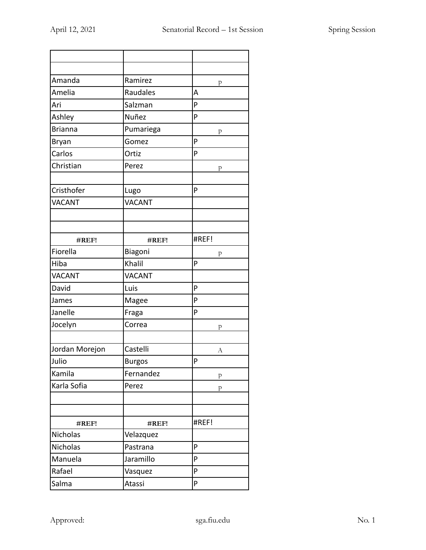| Amanda         | Ramirez       |                   |
|----------------|---------------|-------------------|
| Amelia         | Raudales      | $\mathbf{p}$<br>A |
| Ari            | Salzman       | P                 |
|                | Nuñez         | P                 |
| Ashley         |               |                   |
| <b>Brianna</b> | Pumariega     | $\mathbf{p}$      |
| Bryan          | Gomez         | P                 |
| Carlos         | Ortiz         | P                 |
| Christian      | Perez         | p                 |
|                |               |                   |
| Cristhofer     | Lugo          | P                 |
| <b>VACANT</b>  | <b>VACANT</b> |                   |
|                |               |                   |
| #REF!          | #REF!         | #REF!             |
| Fiorella       | Biagoni       |                   |
| Hiba           | Khalil        | p<br>P            |
| <b>VACANT</b>  | <b>VACANT</b> |                   |
| David          | Luis          | P                 |
|                |               | P                 |
| James          | Magee         |                   |
| Janelle        | Fraga         | P                 |
| Jocelyn        | Correa        | p                 |
| Jordan Morejon | Castelli      | А                 |
| Julio          | <b>Burgos</b> | P                 |
| Kamila         | Fernandez     | ${\bf p}$         |
| Karla Sofia    | Perez         | p                 |
|                |               |                   |
|                |               |                   |
| #REF!          | #REF!         | #REF!             |
| Nicholas       | Velazquez     |                   |
| Nicholas       | Pastrana      | P                 |
| Manuela        | Jaramillo     | P                 |
| Rafael         | Vasquez       | P                 |
| Salma          | Atassi        | P                 |